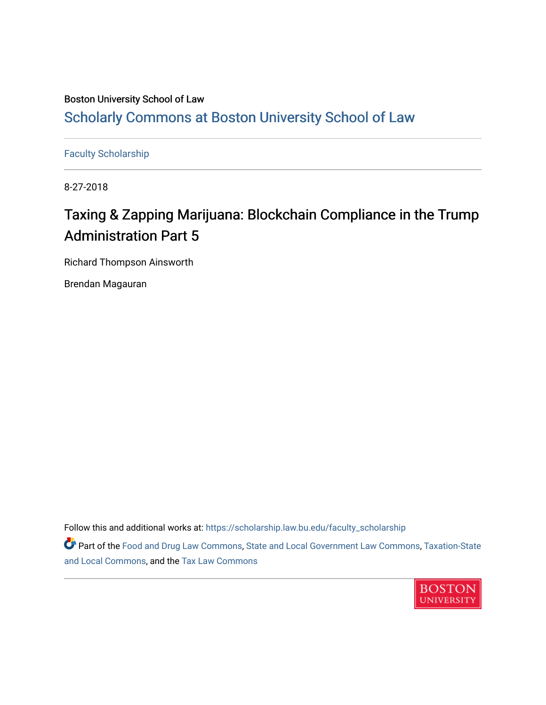### Boston University School of Law [Scholarly Commons at Boston University School of Law](https://scholarship.law.bu.edu/)

[Faculty Scholarship](https://scholarship.law.bu.edu/faculty_scholarship)

8-27-2018

## Taxing & Zapping Marijuana: Blockchain Compliance in the Trump Administration Part 5

Richard Thompson Ainsworth

Brendan Magauran

Follow this and additional works at: [https://scholarship.law.bu.edu/faculty\\_scholarship](https://scholarship.law.bu.edu/faculty_scholarship?utm_source=scholarship.law.bu.edu%2Ffaculty_scholarship%2F1405&utm_medium=PDF&utm_campaign=PDFCoverPages)

Part of the [Food and Drug Law Commons,](http://network.bepress.com/hgg/discipline/844?utm_source=scholarship.law.bu.edu%2Ffaculty_scholarship%2F1405&utm_medium=PDF&utm_campaign=PDFCoverPages) [State and Local Government Law Commons](http://network.bepress.com/hgg/discipline/879?utm_source=scholarship.law.bu.edu%2Ffaculty_scholarship%2F1405&utm_medium=PDF&utm_campaign=PDFCoverPages), [Taxation-State](http://network.bepress.com/hgg/discipline/882?utm_source=scholarship.law.bu.edu%2Ffaculty_scholarship%2F1405&utm_medium=PDF&utm_campaign=PDFCoverPages)  [and Local Commons,](http://network.bepress.com/hgg/discipline/882?utm_source=scholarship.law.bu.edu%2Ffaculty_scholarship%2F1405&utm_medium=PDF&utm_campaign=PDFCoverPages) and the [Tax Law Commons](http://network.bepress.com/hgg/discipline/898?utm_source=scholarship.law.bu.edu%2Ffaculty_scholarship%2F1405&utm_medium=PDF&utm_campaign=PDFCoverPages)

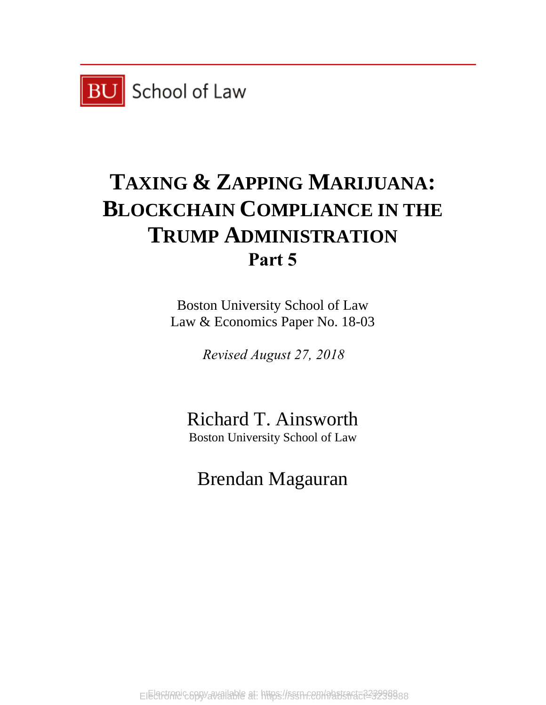

# **TAXING & ZAPPING MARIJUANA: BLOCKCHAIN COMPLIANCE IN THE TRUMP ADMINISTRATION Part 5**

Boston University School of Law Law & Economics Paper No. 18-03

*Revised August 27, 2018*

Richard T. Ainsworth Boston University School of Law

Brendan Magauran

EIEGFUANCGBBYaVaIlable at: https://ssrn.com/abstsact=323298888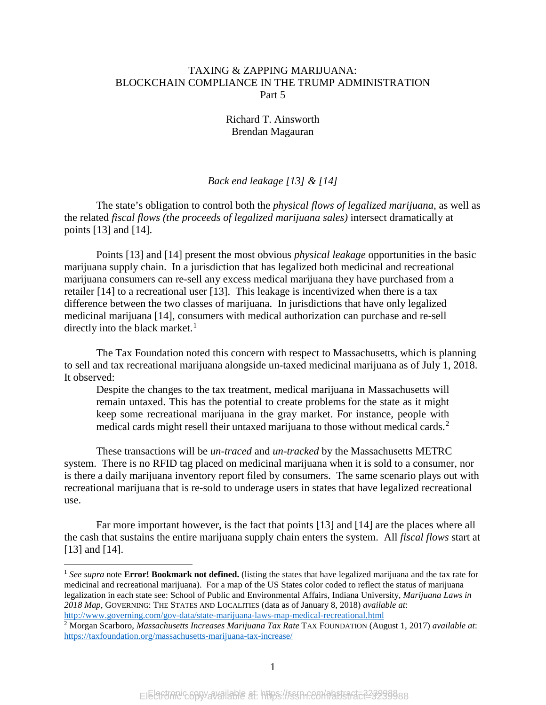#### TAXING & ZAPPING MARIJUANA: BLOCKCHAIN COMPLIANCE IN THE TRUMP ADMINISTRATION Part 5

Richard T. Ainsworth Brendan Magauran

#### *Back end leakage [13] & [14]*

The state's obligation to control both the *physical flows of legalized marijuana*, as well as the related *fiscal flows (the proceeds of legalized marijuana sales)* intersect dramatically at points [13] and [14].

Points [13] and [14] present the most obvious *physical leakage* opportunities in the basic marijuana supply chain. In a jurisdiction that has legalized both medicinal and recreational marijuana consumers can re-sell any excess medical marijuana they have purchased from a retailer [14] to a recreational user [13]. This leakage is incentivized when there is a tax difference between the two classes of marijuana. In jurisdictions that have only legalized medicinal marijuana [14], consumers with medical authorization can purchase and re-sell directly into the black market. $<sup>1</sup>$  $<sup>1</sup>$  $<sup>1</sup>$ </sup>

The Tax Foundation noted this concern with respect to Massachusetts, which is planning to sell and tax recreational marijuana alongside un-taxed medicinal marijuana as of July 1, 2018. It observed:

Despite the changes to the tax treatment, medical marijuana in Massachusetts will remain untaxed. This has the [potential to create problems](https://taxfoundation.org/marijuana-taxes-lessons-colorado-washington/) for the state as it might keep some recreational marijuana in the gray market. For instance, people with medical cards might resell their untaxed marijuana to those without medical cards.<sup>[2](#page-2-1)</sup>

These transactions will be *un-traced* and *un-tracked* by the Massachusetts METRC system. There is no RFID tag placed on medicinal marijuana when it is sold to a consumer, nor is there a daily marijuana inventory report filed by consumers. The same scenario plays out with recreational marijuana that is re-sold to underage users in states that have legalized recreational use.

Far more important however, is the fact that points [13] and [14] are the places where all the cash that sustains the entire marijuana supply chain enters the system. All *fiscal flows* start at [13] and [14].

<span id="page-2-0"></span> <sup>1</sup> *See supra* note **Error! Bookmark not defined.** (listing the states that have legalized marijuana and the tax rate for medicinal and recreational marijuana). For a map of the US States color coded to reflect the status of marijuana legalization in each state see: School of Public and Environmental Affairs, Indiana University, *Marijuana Laws in 2018 Map*, GOVERNING: THE STATES AND LOCALITIES (data as of January 8, 2018) *available at*:

<span id="page-2-1"></span><http://www.governing.com/gov-data/state-marijuana-laws-map-medical-recreational.html>2 Morgan Scarboro, *Massachusetts Increases Marijuana Tax Rate* TAX FOUNDATION (August 1, 2017) *available at*: <https://taxfoundation.org/massachusetts-marijuana-tax-increase/>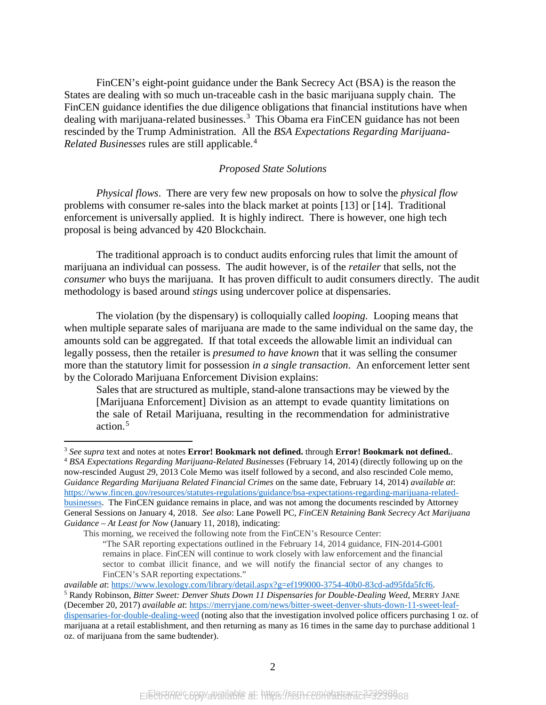FinCEN's eight-point guidance under the Bank Secrecy Act (BSA) is the reason the States are dealing with so much un-traceable cash in the basic marijuana supply chain. The FinCEN guidance identifies the due diligence obligations that financial institutions have when dealing with marijuana-related businesses.<sup>[3](#page-3-0)</sup> This Obama era FinCEN guidance has not been rescinded by the Trump Administration. All the *BSA Expectations Regarding Marijuana-Related Businesses* rules are still applicable.[4](#page-3-1)

#### *Proposed State Solutions*

*Physical flows*. There are very few new proposals on how to solve the *physical flow* problems with consumer re-sales into the black market at points [13] or [14]. Traditional enforcement is universally applied. It is highly indirect. There is however, one high tech proposal is being advanced by 420 Blockchain.

The traditional approach is to conduct audits enforcing rules that limit the amount of marijuana an individual can possess. The audit however, is of the *retailer* that sells, not the *consumer* who buys the marijuana. It has proven difficult to audit consumers directly. The audit methodology is based around *stings* using undercover police at dispensaries.

The violation (by the dispensary) is colloquially called *looping.* Looping means that when multiple separate sales of marijuana are made to the same individual on the same day, the amounts sold can be aggregated. If that total exceeds the allowable limit an individual can legally possess, then the retailer is *presumed to have known* that it was selling the consumer more than the statutory limit for possession *in a single transaction*. An enforcement letter sent by the Colorado Marijuana Enforcement Division explains:

<span id="page-3-3"></span>Sales that are structured as multiple, stand-alone transactions may be viewed by the [Marijuana Enforcement] Division as an attempt to evade quantity limitations on the sale of Retail Marijuana, resulting in the recommendation for administrative action.[5](#page-3-2)

<span id="page-3-0"></span> <sup>3</sup> *See supra* text and notes at notes **Error! Bookmark not defined.** through **Error! Bookmark not defined.**.

<span id="page-3-1"></span><sup>4</sup> *BSA Expectations Regarding Marijuana-Related Businesses* (February 14, 2014) (directly following up on the now-rescinded August 29, 2013 Cole Memo was itself followed by a second, and also rescinded Cole memo, *Guidance Regarding Marijuana Related Financial Crimes* on the same date, February 14, 2014) *available at*: [https://www.fincen.gov/resources/statutes-regulations/guidance/bsa-expectations-regarding-marijuana-related](https://www.fincen.gov/resources/statutes-regulations/guidance/bsa-expectations-regarding-marijuana-related-businesses)[businesses.](https://www.fincen.gov/resources/statutes-regulations/guidance/bsa-expectations-regarding-marijuana-related-businesses) The FinCEN guidance remains in place, and was not among the documents rescinded by Attorney General Sessions on January 4, 2018. *See also*: Lane Powell PC, *FinCEN Retaining Bank Secrecy Act Marijuana Guidance – At Least for Now* (January 11, 2018), indicating:

This morning, we received the following note from the FinCEN's Resource Center:

<sup>&</sup>quot;The SAR reporting expectations outlined in the February 14, 2014 guidance, FIN-2014-G001 remains in place. FinCEN will continue to work closely with law enforcement and the financial sector to combat illicit finance, and we will notify the financial sector of any changes to FinCEN's SAR reporting expectations."

*available at*: [https://www.lexology.com/library/detail.aspx?g=ef199000-3754-40b0-83cd-ad95fda5fcf6.](https://www.lexology.com/library/detail.aspx?g=ef199000-3754-40b0-83cd-ad95fda5fcf6)

<span id="page-3-2"></span><sup>5</sup> Randy Robinson, *Bitter Sweet: Denver Shuts Down 11 Dispensaries for Double-Dealing Weed*, MERRY JANE (December 20, 2017) *available at*[: https://merryjane.com/news/bitter-sweet-denver-shuts-down-11-sweet-leaf](https://merryjane.com/news/bitter-sweet-denver-shuts-down-11-sweet-leaf-dispensaries-for-double-dealing-weed)[dispensaries-for-double-dealing-weed](https://merryjane.com/news/bitter-sweet-denver-shuts-down-11-sweet-leaf-dispensaries-for-double-dealing-weed) (noting also that the investigation involved police officers purchasing 1 oz. of marijuana at a retail establishment, and then returning as many as 16 times in the same day to purchase additional 1 oz. of marijuana from the same budtender).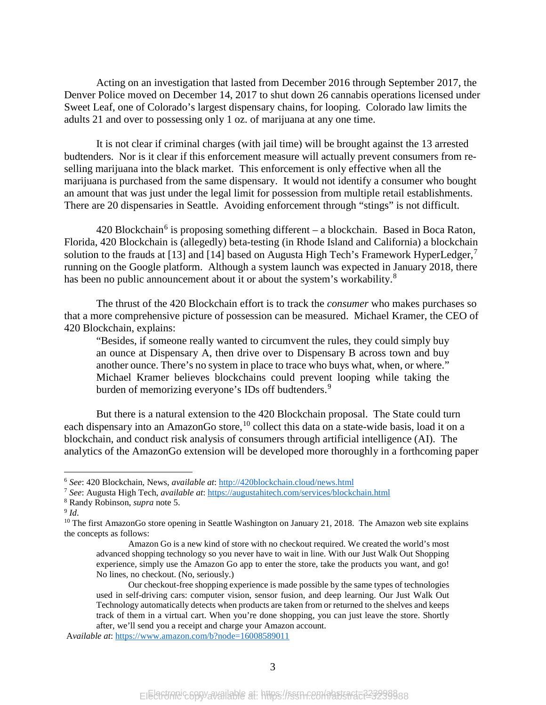Acting on an investigation that lasted from December 2016 through September 2017, the Denver Police moved on December 14, 2017 to shut down 26 cannabis operations licensed under Sweet Leaf, one of Colorado's largest dispensary chains, for looping. Colorado law limits the adults 21 and over to possessing only 1 oz. of marijuana at any one time.

It is not clear if criminal charges (with jail time) will be brought against the 13 arrested budtenders. Nor is it clear if this enforcement measure will actually prevent consumers from reselling marijuana into the black market. This enforcement is only effective when all the marijuana is purchased from the same dispensary. It would not identify a consumer who bought an amount that was just under the legal limit for possession from multiple retail establishments. There are 20 dispensaries in Seattle. Avoiding enforcement through "stings" is not difficult.

420 Blockchain<sup>[6](#page-4-0)</sup> is proposing something different – a blockchain. Based in Boca Raton, Florida, 420 Blockchain is (allegedly) beta-testing (in Rhode Island and California) a blockchain solution to the frauds at [13] and [14] based on Augusta High Tech's Framework HyperLedger,<sup>[7](#page-4-1)</sup> running on the Google platform. Although a system launch was expected in January 2018, there has been no public announcement about it or about the system's workability.<sup>[8](#page-4-2)</sup>

The thrust of the 420 Blockchain effort is to track the *consumer* who makes purchases so that a more comprehensive picture of possession can be measured. Michael Kramer, the CEO of 420 Blockchain, explains:

"Besides, if someone really wanted to circumvent the rules, they could simply buy an ounce at Dispensary A, then drive over to Dispensary B across town and buy another ounce. There's no system in place to trace who buys what, when, or where." Michael Kramer believes blockchains could prevent looping while taking the burden of memorizing everyone's IDs off budtenders.<sup>[9](#page-4-3)</sup>

But there is a natural extension to the 420 Blockchain proposal. The State could turn each dispensary into an AmazonGo store,  $^{10}$  $^{10}$  $^{10}$  collect this data on a state-wide basis, load it on a blockchain, and conduct risk analysis of consumers through artificial intelligence (AI). The analytics of the AmazonGo extension will be developed more thoroughly in a forthcoming paper

<span id="page-4-0"></span> <sup>6</sup> *See*: 420 Blockchain, News, *available at*[: http://420blockchain.cloud/news.html](http://420blockchain.cloud/news.html)

<span id="page-4-1"></span><sup>7</sup> *See*: Augusta High Tech, *available at*:<https://augustahitech.com/services/blockchain.html>

<span id="page-4-3"></span><span id="page-4-2"></span><sup>8</sup> Randy Robinson, *supra* not[e 5.](#page-3-3) 9 *Id*.

<span id="page-4-4"></span><sup>&</sup>lt;sup>10</sup> The first AmazonGo store opening in Seattle Washington on January 21, 2018. The Amazon web site explains the concepts as follows:

Amazon Go is a new kind of store with no checkout required. We created the world's most advanced shopping technology so you never have to wait in line. With our Just Walk Out Shopping experience, simply use the Amazon Go app to enter the store, take the products you want, and go! No lines, no checkout. (No, seriously.)

Our checkout-free shopping experience is made possible by the same types of technologies used in self-driving cars: computer vision, sensor fusion, and deep learning. Our Just Walk Out Technology automatically detects when products are taken from or returned to the shelves and keeps track of them in a virtual cart. When you're done shopping, you can just leave the store. Shortly after, we'll send you a receipt and charge your Amazon account.

A*vailable at*:<https://www.amazon.com/b?node=16008589011>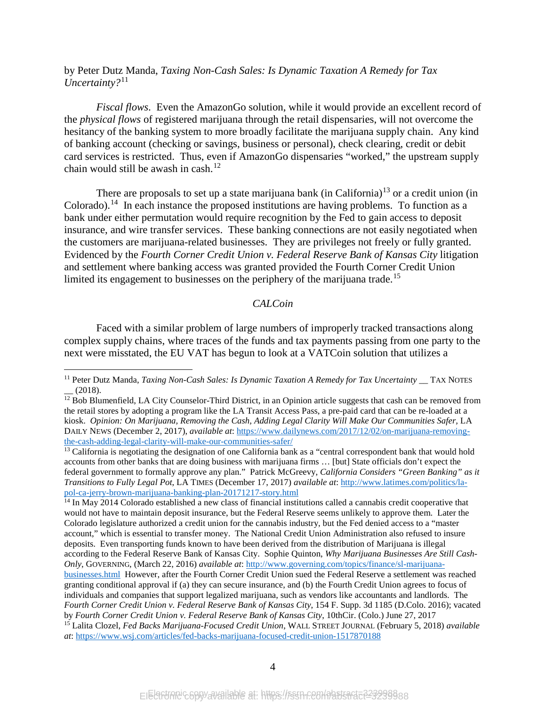by Peter Dutz Manda, *Taxing Non-Cash Sales: Is Dynamic Taxation A Remedy for Tax Uncertainty?*[11](#page-5-0)

*Fiscal flows*. Even the AmazonGo solution, while it would provide an excellent record of the *physical flows* of registered marijuana through the retail dispensaries, will not overcome the hesitancy of the banking system to more broadly facilitate the marijuana supply chain. Any kind of banking account (checking or savings, business or personal), check clearing, credit or debit card services is restricted. Thus, even if AmazonGo dispensaries "worked," the upstream supply chain would still be awash in cash. [12](#page-5-1) 

There are proposals to set up a state marijuana bank (in California)<sup>[13](#page-5-2)</sup> or a credit union (in Colorado).<sup>[14](#page-5-3)</sup> In each instance the proposed institutions are having problems. To function as a bank under either permutation would require recognition by the Fed to gain access to deposit insurance, and wire transfer services. These banking connections are not easily negotiated when the customers are marijuana-related businesses. They are privileges not freely or fully granted. Evidenced by the *Fourth Corner Credit Union v. Federal Reserve Bank of Kansas City* litigation and settlement where banking access was granted provided the Fourth Corner Credit Union limited its engagement to businesses on the periphery of the marijuana trade.<sup>[15](#page-5-4)</sup>

#### *CALCoin*

Faced with a similar problem of large numbers of improperly tracked transactions along complex supply chains, where traces of the funds and tax payments passing from one party to the next were misstated, the EU VAT has begun to look at a VATCoin solution that utilizes a

<span id="page-5-0"></span><sup>&</sup>lt;sup>11</sup> Peter Dutz Manda, *Taxing Non-Cash Sales: Is Dynamic Taxation A Remedy for Tax Uncertainty* TAX NOTES  $(2018).$ 

<span id="page-5-1"></span><sup>&</sup>lt;sup>12</sup> Bob Blumenfield, LA City Counselor-Third District, in an Opinion article suggests that cash can be removed from the retail stores by adopting a program like the LA Transit Access Pass, a pre-paid card that can be re-loaded at a kiosk. *Opinion: On Marijuana, Removing the Cash, Adding Legal Clarity Will Make Our Communities Safer,* LA DAILY NEWS (December 2, 2017), *available at*[: https://www.dailynews.com/2017/12/02/on-marijuana-removing](https://www.dailynews.com/2017/12/02/on-marijuana-removing-the-cash-adding-legal-clarity-will-make-our-communities-safer/)[the-cash-adding-legal-clarity-will-make-our-communities-safer/](https://www.dailynews.com/2017/12/02/on-marijuana-removing-the-cash-adding-legal-clarity-will-make-our-communities-safer/)

<span id="page-5-2"></span><sup>&</sup>lt;sup>13</sup> California is negotiating the designation of one California bank as a "central correspondent bank that would hold accounts from other banks that are doing business with marijuana firms … [but] State officials don't expect the federal government to formally approve any plan." Patrick McGreevy, *California Considers "Green Banking" as it Transitions to Fully Legal Pot*, LA TIMES (December 17, 2017) *available at*: [http://www.latimes.com/politics/la](http://www.latimes.com/politics/la-pol-ca-jerry-brown-marijuana-banking-plan-20171217-story.html)[pol-ca-jerry-brown-marijuana-banking-plan-20171217-story.html](http://www.latimes.com/politics/la-pol-ca-jerry-brown-marijuana-banking-plan-20171217-story.html) 14 In May 2014 Colorado established a new class of financial institutions called a cannabis credit cooperative that

<span id="page-5-4"></span><span id="page-5-3"></span>would not have to maintain deposit insurance, but the Federal Reserve seems unlikely to approve them. Later the Colorado legislature authorized a credit union for the cannabis industry, but the Fed denied access to a "master account," which is essential to transfer money. The National Credit Union Administration also refused to insure deposits. Even transporting funds known to have been derived from the distribution of Marijuana is illegal according to the Federal Reserve Bank of Kansas City. Sophie Quinton, *Why Marijuana Businesses Are Still Cash-Only*, GOVERNING, (March 22, 2016) *available at*: [http://www.governing.com/topics/finance/sl-marijuana](http://www.governing.com/topics/finance/sl-marijuana-businesses.html)[businesses.html](http://www.governing.com/topics/finance/sl-marijuana-businesses.html) However, after the Fourth Corner Credit Union sued the Federal Reserve a settlement was reached granting conditional approval if (a) they can secure insurance, and (b) the Fourth Credit Union agrees to focus of individuals and companies that support legalized marijuana, such as vendors like accountants and landlords. The *Fourth Corner Credit Union v. Federal Reserve Bank of Kansas City*, 154 F. Supp. 3d 1185 (D.Colo. 2016); vacated by Fourth Corner Credit Union v. Federal Reserve Bank of Kansas City, 10thCir. (Colo.) June 27, 2017<br><sup>15</sup> Lalita Clozel, Fed Backs Marijuana-Focused Credit Union, WALL STREET JOURNAL (February 5, 2018) available *at*:<https://www.wsj.com/articles/fed-backs-marijuana-focused-credit-union-1517870188>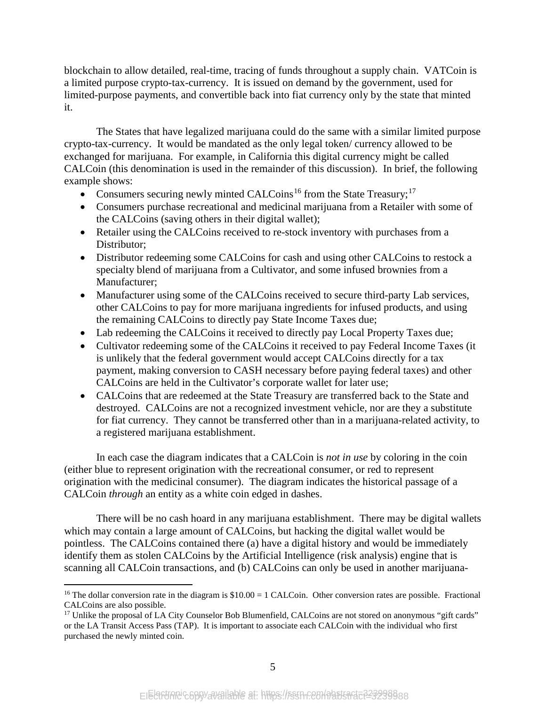blockchain to allow detailed, real-time, tracing of funds throughout a supply chain. VATCoin is a limited purpose crypto-tax-currency. It is issued on demand by the government, used for limited-purpose payments, and convertible back into fiat currency only by the state that minted it.

The States that have legalized marijuana could do the same with a similar limited purpose crypto-tax-currency. It would be mandated as the only legal token/ currency allowed to be exchanged for marijuana. For example, in California this digital currency might be called CALCoin (this denomination is used in the remainder of this discussion). In brief, the following example shows:

- Consumers securing newly minted CALCoins<sup>[16](#page-6-0)</sup> from the State Treasury;<sup>[17](#page-6-1)</sup>
- Consumers purchase recreational and medicinal marijuana from a Retailer with some of the CALCoins (saving others in their digital wallet);
- Retailer using the CALCoins received to re-stock inventory with purchases from a Distributor;
- Distributor redeeming some CALCoins for cash and using other CALCoins to restock a specialty blend of marijuana from a Cultivator, and some infused brownies from a Manufacturer;
- Manufacturer using some of the CALCoins received to secure third-party Lab services, other CALCoins to pay for more marijuana ingredients for infused products, and using the remaining CALCoins to directly pay State Income Taxes due;
- Lab redeeming the CALCoins it received to directly pay Local Property Taxes due;
- Cultivator redeeming some of the CALCoins it received to pay Federal Income Taxes (it is unlikely that the federal government would accept CALCoins directly for a tax payment, making conversion to CASH necessary before paying federal taxes) and other CALCoins are held in the Cultivator's corporate wallet for later use;
- CALCoins that are redeemed at the State Treasury are transferred back to the State and destroyed. CALCoins are not a recognized investment vehicle, nor are they a substitute for fiat currency. They cannot be transferred other than in a marijuana-related activity, to a registered marijuana establishment.

In each case the diagram indicates that a CALCoin is *not in use* by coloring in the coin (either blue to represent origination with the recreational consumer, or red to represent origination with the medicinal consumer). The diagram indicates the historical passage of a CALCoin *through* an entity as a white coin edged in dashes.

There will be no cash hoard in any marijuana establishment. There may be digital wallets which may contain a large amount of CALCoins, but hacking the digital wallet would be pointless. The CALCoins contained there (a) have a digital history and would be immediately identify them as stolen CALCoins by the Artificial Intelligence (risk analysis) engine that is scanning all CALCoin transactions, and (b) CALCoins can only be used in another marijuana-

<span id="page-6-0"></span><sup>&</sup>lt;sup>16</sup> The dollar conversion rate in the diagram is  $$10.00 = 1$  CALCoin. Other conversion rates are possible. Fractional CALCoins are also possible.

<span id="page-6-1"></span><sup>&</sup>lt;sup>17</sup> Unlike the proposal of LA City Counselor Bob Blumenfield, CALCoins are not stored on anonymous "gift cards" or the LA Transit Access Pass (TAP). It is important to associate each CALCoin with the individual who first purchased the newly minted coin.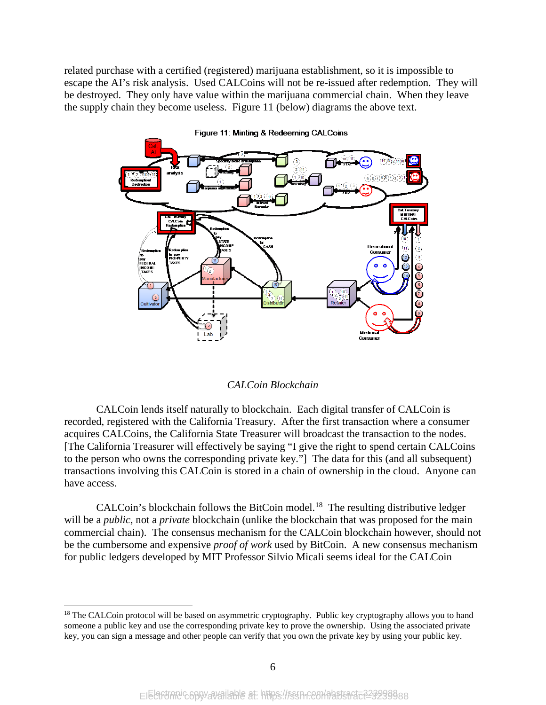related purchase with a certified (registered) marijuana establishment, so it is impossible to escape the AI's risk analysis. Used CALCoins will not be re-issued after redemption. They will be destroyed. They only have value within the marijuana commercial chain. When they leave the supply chain they become useless. Figure 11 (below) diagrams the above text.



Figure 11: Minting & Redeeming CALCoins

#### *CALCoin Blockchain*

CALCoin lends itself naturally to blockchain. Each digital transfer of CALCoin is recorded, registered with the California Treasury. After the first transaction where a consumer acquires CALCoins, the California State Treasurer will broadcast the transaction to the nodes. [The California Treasurer will effectively be saying "I give the right to spend certain CALCoins to the person who owns the corresponding private key."] The data for this (and all subsequent) transactions involving this CALCoin is stored in a chain of ownership in the cloud. Anyone can have access.

CALCoin's blockchain follows the BitCoin model.<sup>[18](#page-7-0)</sup> The resulting distributive ledger will be a *public*, not a *private* blockchain (unlike the blockchain that was proposed for the main commercial chain). The consensus mechanism for the CALCoin blockchain however, should not be the cumbersome and expensive *proof of work* used by BitCoin. A new consensus mechanism for public ledgers developed by MIT Professor Silvio Micali seems ideal for the CALCoin

<span id="page-7-0"></span><sup>&</sup>lt;sup>18</sup> The CALCoin protocol will be based on asymmetric cryptography. Public key cryptography allows you to hand someone a public key and use the corresponding private key to prove the ownership. Using the associated private key, you can sign a message and other people can verify that you own the private key by using your public key.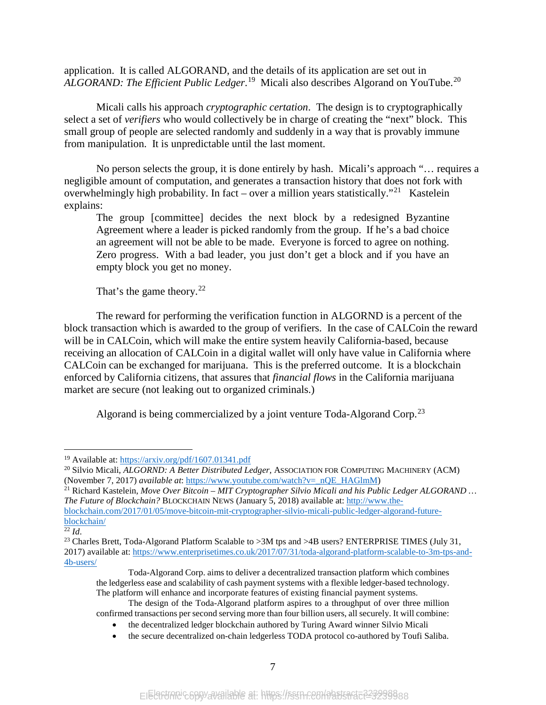application. It is called ALGORAND, and the details of its application are set out in *ALGORAND: The Efficient Public Ledger*. [19](#page-8-0) Micali also describes Algorand on YouTube.[20](#page-8-1)

Micali calls his approach *cryptographic certation*. The design is to cryptographically select a set of *verifiers* who would collectively be in charge of creating the "next" block. This small group of people are selected randomly and suddenly in a way that is provably immune from manipulation. It is unpredictable until the last moment.

No person selects the group, it is done entirely by hash. Micali's approach "… requires a negligible amount of computation, and generates a transaction history that does not fork with overwhelmingly high probability. In fact – over a million years statistically."<sup>[21](#page-8-2)</sup> Kastelein explains:

The group [committee] decides the next block by a redesigned Byzantine Agreement where a leader is picked randomly from the group. If he's a bad choice an agreement will not be able to be made. Everyone is forced to agree on nothing. Zero progress. With a bad leader, you just don't get a block and if you have an empty block you get no money.

That's the game theory. $22$ 

The reward for performing the verification function in ALGORND is a percent of the block transaction which is awarded to the group of verifiers. In the case of CALCoin the reward will be in CALCoin, which will make the entire system heavily California-based, because receiving an allocation of CALCoin in a digital wallet will only have value in California where CALCoin can be exchanged for marijuana. This is the preferred outcome. It is a blockchain enforced by California citizens, that assures that *financial flows* in the California marijuana market are secure (not leaking out to organized criminals.)

Algorand is being commercialized by a joint venture Toda-Algorand Corp.<sup>[23](#page-8-4)</sup>

<span id="page-8-2"></span><sup>21</sup> Richard Kastelein, *Move Over Bitcoin – MIT Cryptographer Silvio Micali and his Public Ledger ALGORAND … The Future of Blockchain?* BLOCKCHAIN NEWS (January 5, 2018) available at[: http://www.the](http://www.the-blockchain.com/2017/01/05/move-bitcoin-mit-cryptographer-silvio-micali-public-ledger-algorand-future-blockchain/)[blockchain.com/2017/01/05/move-bitcoin-mit-cryptographer-silvio-micali-public-ledger-algorand-future](http://www.the-blockchain.com/2017/01/05/move-bitcoin-mit-cryptographer-silvio-micali-public-ledger-algorand-future-blockchain/)[blockchain/](http://www.the-blockchain.com/2017/01/05/move-bitcoin-mit-cryptographer-silvio-micali-public-ledger-algorand-future-blockchain/)

<span id="page-8-3"></span> $\overline{\overline{22} \, Id.}$ 

<span id="page-8-0"></span><sup>&</sup>lt;sup>19</sup> Available at:<https://arxiv.org/pdf/1607.01341.pdf>

<span id="page-8-1"></span><sup>&</sup>lt;sup>20</sup> Silvio Micali, *ALGORND: A Better Distributed Ledger*, ASSOCIATION FOR COMPUTING MACHINERY (ACM) (November 7, 2017) *available at:* https://www.youtube.com/watch?v= nQE HAGlmM)

<span id="page-8-4"></span><sup>&</sup>lt;sup>23</sup> Charles Brett, Toda-Algorand Platform Scalable to >3M tps and >4B users? ENTERPRISE TIMES (July 31, 2017) available at: [https://www.enterprisetimes.co.uk/2017/07/31/toda-algorand-platform-scalable-to-3m-tps-and-](https://www.enterprisetimes.co.uk/2017/07/31/toda-algorand-platform-scalable-to-3m-tps-and-4b-users/)[4b-users/](https://www.enterprisetimes.co.uk/2017/07/31/toda-algorand-platform-scalable-to-3m-tps-and-4b-users/) 

Toda-Algorand Corp. aims to deliver a decentralized transaction platform which combines the ledgerless ease and scalability of cash payment systems with a flexible ledger-based technology. The platform will enhance and incorporate features of existing financial payment systems.

The design of the Toda-Algorand platform aspires to a throughput of over three million confirmed transactions per second serving more than four billion users, all securely. It will combine:

<sup>•</sup> the decentralized ledger blockchain authored by Turing Award winner Silvio Micali

<sup>•</sup> the secure decentralized on-chain ledgerless TODA protocol co-authored by Toufi Saliba.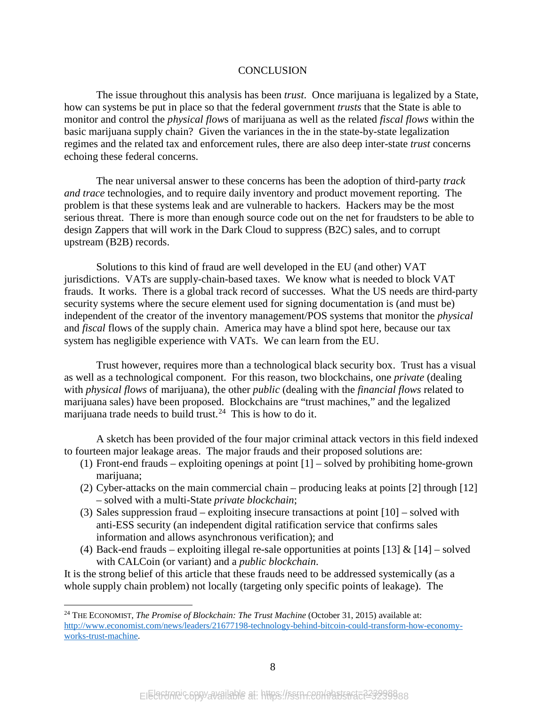#### CONCLUSION

The issue throughout this analysis has been *trust*. Once marijuana is legalized by a State, how can systems be put in place so that the federal government *trusts* that the State is able to monitor and control the *physical flow*s of marijuana as well as the related *fiscal flows* within the basic marijuana supply chain? Given the variances in the in the state-by-state legalization regimes and the related tax and enforcement rules, there are also deep inter-state *trust* concerns echoing these federal concerns.

The near universal answer to these concerns has been the adoption of third-party *track and trace* technologies, and to require daily inventory and product movement reporting. The problem is that these systems leak and are vulnerable to hackers. Hackers may be the most serious threat. There is more than enough source code out on the net for fraudsters to be able to design Zappers that will work in the Dark Cloud to suppress (B2C) sales, and to corrupt upstream (B2B) records.

Solutions to this kind of fraud are well developed in the EU (and other) VAT jurisdictions. VATs are supply-chain-based taxes. We know what is needed to block VAT frauds. It works. There is a global track record of successes. What the US needs are third-party security systems where the secure element used for signing documentation is (and must be) independent of the creator of the inventory management/POS systems that monitor the *physical* and *fiscal* flows of the supply chain. America may have a blind spot here, because our tax system has negligible experience with VATs. We can learn from the EU.

Trust however, requires more than a technological black security box. Trust has a visual as well as a technological component. For this reason, two blockchains, one *private* (dealing with *physical flows* of marijuana), the other *public* (dealing with the *financial flows* related to marijuana sales) have been proposed. Blockchains are "trust machines," and the legalized marijuana trade needs to build trust.<sup>[24](#page-9-0)</sup> This is how to do it.

A sketch has been provided of the four major criminal attack vectors in this field indexed to fourteen major leakage areas. The major frauds and their proposed solutions are:

- (1) Front-end frauds exploiting openings at point [1] solved by prohibiting home-grown marijuana:
- (2) Cyber-attacks on the main commercial chain producing leaks at points [2] through [12] – solved with a multi-State *private blockchain*;
- (3) Sales suppression fraud exploiting insecure transactions at point [10] solved with anti-ESS security (an independent digital ratification service that confirms sales information and allows asynchronous verification); and
- (4) Back-end frauds exploiting illegal re-sale opportunities at points [13] & [14] solved with CALCoin (or variant) and a *public blockchain*.

It is the strong belief of this article that these frauds need to be addressed systemically (as a whole supply chain problem) not locally (targeting only specific points of leakage). The

<span id="page-9-0"></span> <sup>24</sup> THE ECONOMIST, *The Promise of Blockchain: The Trust Machine* (October 31, 2015) available at: [http://www.economist.com/news/leaders/21677198-technology-behind-bitcoin-could-transform-how-economy](http://www.economist.com/news/leaders/21677198-technology-behind-bitcoin-could-transform-how-economy-works-trust-machine)[works-trust-machine.](http://www.economist.com/news/leaders/21677198-technology-behind-bitcoin-could-transform-how-economy-works-trust-machine)